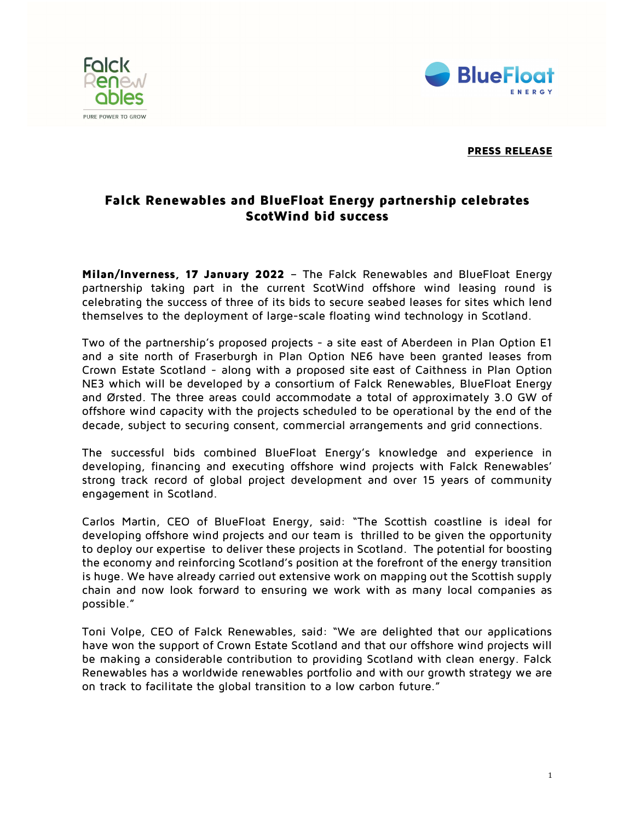



## PRESS RELEASE

## Falck Renewables and BlueFloat Energy partnership celebrates ScotWind bid success

Milan/Inverness, 17 January 2022 – The Falck Renewables and BlueFloat Energy partnership taking part in the current ScotWind offshore wind leasing round is celebrating the success of three of its bids to secure seabed leases for sites which lend themselves to the deployment of large-scale floating wind technology in Scotland.

Two of the partnership's proposed projects - a site east of Aberdeen in Plan Option E1 and a site north of Fraserburgh in Plan Option NE6 have been granted leases from Crown Estate Scotland - along with a proposed site east of Caithness in Plan Option NE3 which will be developed by a consortium of Falck Renewables, BlueFloat Energy and Ørsted. The three areas could accommodate a total of approximately 3.0 GW of offshore wind capacity with the projects scheduled to be operational by the end of the decade, subject to securing consent, commercial arrangements and grid connections.

The successful bids combined BlueFloat Energy's knowledge and experience in developing, financing and executing offshore wind projects with Falck Renewables' strong track record of global project development and over 15 years of community engagement in Scotland.

Carlos Martin, CEO of BlueFloat Energy, said: "The Scottish coastline is ideal for developing offshore wind projects and our team is thrilled to be given the opportunity to deploy our expertise to deliver these projects in Scotland. The potential for boosting the economy and reinforcing Scotland's position at the forefront of the energy transition is huge. We have already carried out extensive work on mapping out the Scottish supply chain and now look forward to ensuring we work with as many local companies as possible."

Toni Volpe, CEO of Falck Renewables, said: "We are delighted that our applications have won the support of Crown Estate Scotland and that our offshore wind projects will be making a considerable contribution to providing Scotland with clean energy. Falck Renewables has a worldwide renewables portfolio and with our growth strategy we are on track to facilitate the global transition to a low carbon future."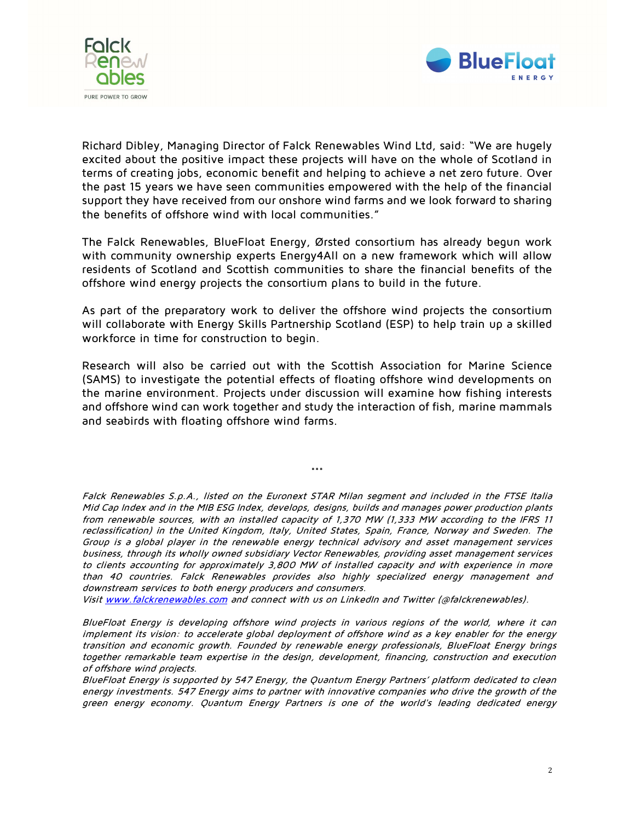



Richard Dibley, Managing Director of Falck Renewables Wind Ltd, said: "We are hugely excited about the positive impact these projects will have on the whole of Scotland in terms of creating jobs, economic benefit and helping to achieve a net zero future. Over the past 15 years we have seen communities empowered with the help of the financial support they have received from our onshore wind farms and we look forward to sharing the benefits of offshore wind with local communities."

The Falck Renewables, BlueFloat Energy, Ørsted consortium has already begun work with community ownership experts Energy4All on a new framework which will allow residents of Scotland and Scottish communities to share the financial benefits of the offshore wind energy projects the consortium plans to build in the future.

As part of the preparatory work to deliver the offshore wind projects the consortium will collaborate with Energy Skills Partnership Scotland (ESP) to help train up a skilled workforce in time for construction to begin.

Research will also be carried out with the Scottish Association for Marine Science (SAMS) to investigate the potential effects of floating offshore wind developments on the marine environment. Projects under discussion will examine how fishing interests and offshore wind can work together and study the interaction of fish, marine mammals and seabirds with floating offshore wind farms.

\*\*\*

Falck Renewables S.p.A., listed on the Euronext STAR Milan segment and included in the FTSE Italia Mid Cap Index and in the MIB ESG Index, develops, designs, builds and manages power production plants from renewable sources, with an installed capacity of 1,370 MW (1,333 MW according to the IFRS 11 reclassification) in the United Kingdom, Italy, United States, Spain, France, Norway and Sweden. The Group is a global player in the renewable energy technical advisory and asset management services business, through its wholly owned subsidiary Vector Renewables, providing asset management services to clients accounting for approximately 3,800 MW of installed capacity and with experience in more than 40 countries. Falck Renewables provides also highly specialized energy management and downstream services to both energy producers and consumers.

Visit www.falckrenewables.com and connect with us on LinkedIn and Twitter (@falckrenewables).

BlueFloat Energy is developing offshore wind projects in various regions of the world, where it can implement its vision: to accelerate global deployment of offshore wind as a key enabler for the energy transition and economic growth. Founded by renewable energy professionals, BlueFloat Energy brings together remarkable team expertise in the design, development, financing, construction and execution of offshore wind projects.

BlueFloat Energy is supported by 547 Energy, the Quantum Energy Partners' platform dedicated to clean energy investments. 547 Energy aims to partner with innovative companies who drive the growth of the green energy economy. Quantum Energy Partners is one of the world's leading dedicated energy